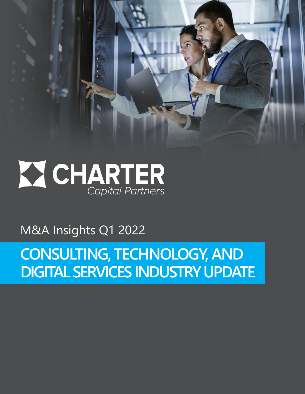

M&A Insights Q1 2022

**CONSULTING, TECHNOLOGY, AND DIGITAL SERVICES INDUSTRY UPDATE**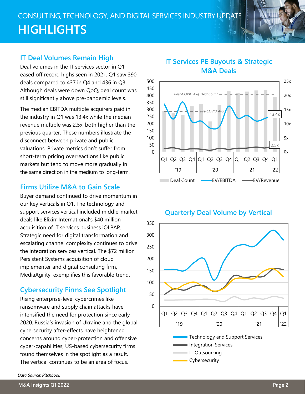# CONSULTING, TECHNOLOGY, AND DIGITAL SERVICES INDUSTRY UPDATE **HIGHLIGHTS**

#### **IT Deal Volumes Remain High**

Deal volumes in the IT services sector in Q1 eased off record highs seen in 2021. Q1 saw 390 deals compared to 437 in Q4 and 436 in Q3. Although deals were down QoQ, deal count was still significantly above pre-pandemic levels.

The median EBITDA multiple acquirers paid in the industry in Q1 was 13.4x while the median revenue multiple was 2.5x, both higher than the previous quarter. These numbers illustrate the disconnect between private and public valuations. Private metrics don't suffer from short-term pricing overreactions like public markets but tend to move more gradually in the same direction in the medium to long-term.

#### **Firms Utilize M&A to Gain Scale**

Buyer demand continued to drive momentum in our key verticals in Q1. The technology and support services vertical included middle-market deals like Elixirr International's \$40 million acquisition of IT services business iOLPAP. Strategic need for digital transformation and escalating channel complexity continues to drive the integration services vertical. The \$72 million Persistent Systems acquisition of cloud implementer and digital consulting firm, MediaAgility, exemplifies this favorable trend.

#### **Cybersecurity Firms See Spotlight**

Rising enterprise-level cybercrimes like ransomware and supply chain attacks have intensified the need for protection since early 2020. Russia's invasion of Ukraine and the global cybersecurity after-effects have heightened concerns around cyber-protection and offensive cyber-capabilities; US-based cybersecurity firms found themselves in the spotlight as a result. The vertical continues to be an area of focus.

#### **IT Services PE Buyouts & Strategic M&A Deals**



#### **Quarterly Deal Volume by Vertical**



*Data Source: Pitchbook*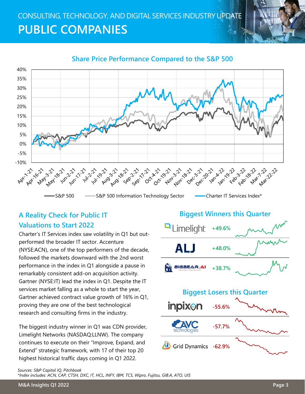# CONSULTING, TECHNOLOGY, AND DIGITAL SERVICES INDUSTRY UPDATE **PUBLIC COMPANIES**



#### **Share Price Performance Compared to the S&P 500**

## **A Reality Check for Public IT Valuations to Start 2022**

Charter's IT Services index saw volatility in Q1 but outperformed the broader IT sector. Accenture (NYSE:ACN), one of the top performers of the decade, followed the markets downward with the 2nd worst performance in the index in Q1 alongside a pause in remarkably consistent add-on acquisition activity. Gartner (NYSE:IT) lead the index in Q1. Despite the IT services market falling as a whole to start the year, Gartner achieved contract value growth of 16% in Q1, proving they are one of the best technological research and consulting firms in the industry.

The biggest industry winner in Q1 was CDN provider, Limelight Networks (NASDAQ:LLNW). The company continues to execute on their "Improve, Expand, and Extend" strategic framework, with 17 of their top 20 highest historical traffic days coming in Q1 2022.

# **Biggest Winners this Quarter** Limelight **+49.6%** AI I **+48.0%** BIGBEAR.AI **+38.7% Biggest Losers this Quarter**



*Sources: S&P Capital IQ, Pitchbook \*Index includes: ACN, CAP, CTSH, DXC, IT, HCL, INFY, IBM, TCS, Wipro, Fujitsu, GIB.A, ATO, UIS*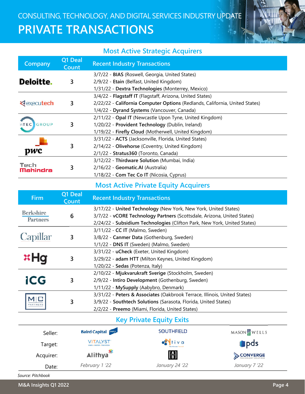

### **Most Active Strategic Acquirers**

| <b>Company</b>                  | Q1 Deal<br>Count | <b>Recent Industry Transactions</b>                                         |
|---------------------------------|------------------|-----------------------------------------------------------------------------|
|                                 |                  | 3/7/22 - BIAS (Roswell, Georgia, United States)                             |
| Deloitte.                       | 3                | 2/9/22 - Etain (Belfast, United Kingdom)                                    |
|                                 |                  | 1/31/22 - Dextra Technologies (Monterrey, Mexico)                           |
| <b><i><u>Rexecutech</u></i></b> | 3                | 3/4/22 - Flagstaff IT (Flagstaff, Arizona, United States)                   |
|                                 |                  | 2/22/22 - California Computer Options (Redlands, California, United States) |
|                                 |                  | 1/4/22 - Dyrand Systems (Vancouver, Canada)                                 |
| GROUP<br>nTEC                   | 3                | 2/11/22 - Opal IT (Newcastle Upon Tyne, United Kingdom)                     |
|                                 |                  | 1/20/22 - Provident Technology (Dublin, Ireland)                            |
|                                 |                  | 1/19/22 - Firefly Cloud (Motherwell, United Kingdom)                        |
| pwc                             | 3                | 3/31/22 - ACTS (Jacksonville, Florida, United States)                       |
|                                 |                  | 2/14/22 - Olivehorse (Coventry, United Kingdom)                             |
|                                 |                  | 2/1/22 - Stratus360 (Toronto, Canada)                                       |
| Tech<br>Mahindra                | 3                | 3/12/22 - Thirdware Solution (Mumbai, India)                                |
|                                 |                  | 2/16/22 - Geomatic.AI (Australia)                                           |
|                                 |                  | 1/18/22 - Com Tec Co IT (Nicosia, Cyprus)                                   |

## **Most Active Private Equity Acquirers**

| <b>Firm</b>           | Q1 Deal<br>Count | <b>Recent Industry Transactions</b>                                       |
|-----------------------|------------------|---------------------------------------------------------------------------|
| Berkshire<br>Partners |                  | 3/17/22 - United Technology (New York, New York, United States)           |
|                       | 6                | 3/7/22 - vCORE Technology Partners (Scottsdale, Arizona, United States)   |
|                       |                  | 2/24/22 - Subsidium Technologies (Clifton Park, New York, United States)  |
|                       |                  | 3/11/22 - CC IT (Malmo, Sweden)                                           |
| Capillar              | 3                | 3/8/22 - Canmer Data (Gothenburg, Sweden)                                 |
|                       |                  | 1/1/22 - DNS IT (Sweden) (Malmo, Sweden)                                  |
| <b>xHa</b>            |                  | 3/31/22 - uCheck (Exeter, United Kingdom)                                 |
|                       | 3                | 3/29/22 - adam HTT (Milton Keynes, United Kingdom)                        |
|                       |                  | 1/20/22 - Sedas (Potenza, Italy)                                          |
| iCG                   | 3                | 2/10/22 - Mjukvarukraft Sverige (Stockholm, Sweden)                       |
|                       |                  | 2/9/22 - Intiro Development (Gothenburg, Sweden)                          |
|                       |                  | 1/11/22 - MySupply (Aabybro, Denmark)                                     |
| PARTNER               |                  | 3/31/22 - Peters & Associates (Oakbrook Terrace, Illinois, United States) |
|                       | 3                | 3/9/22 - Southtech Solutions (Sarasota, Florida, United States)           |
|                       |                  | 2/2/22 - Preemo (Miami, Florida, United States)                           |

## **Key Private Equity Exits**

| Seller:   | <b>Baird Capital BAURD</b>                    | <b>SOUTHFIELD</b>                             | $MASON$ $\parallel$ $WELLS$ |
|-----------|-----------------------------------------------|-----------------------------------------------|-----------------------------|
| Target:   | <b>VITALYST</b><br>LEARN > MASTER > TRANSFORM | $\bullet$ tiva<br><b>Your Guerass, German</b> | pds                         |
| Acquirer: | Alilhya <sup>*</sup>                          | $\left[\frac{\mathbf{A}}{\mathbf{B}}\right]$  | CONVERGE                    |
| Date:     | February 1 '22                                | January 24 '22                                | January 7 '22               |

*Source: Pitchbook*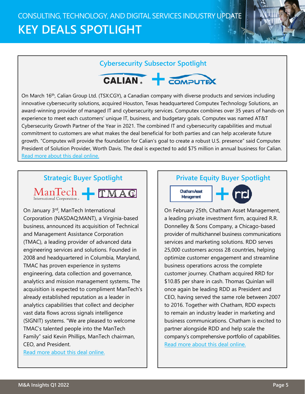# CONSULTING, TECHNOLOGY, AND DIGITAL SERVICES INDUSTRY UPDATE **KEY DEALS SPOTLIGHT**

#### **Cybersecurity Subsector Spotlight**



On March 16th, Calian Group Ltd. (TSX:CGY), a Canadian company with diverse products and services including innovative cybersecurity solutions, acquired Houston, Texas headquartered Computex Technology Solutions, an award-winning provider of managed IT and cybersecurity services. Computex combines over 35 years of hands-on experience to meet each customers' unique IT, business, and budgetary goals. Computex was named AT&T Cybersecurity Growth Partner of the Year in 2021. The combined IT and cybersecurity capabilities and mutual commitment to customers are what makes the deal beneficial for both parties and can help accelerate future growth. "Computex will provide the foundation for Calian's goal to create a robust U.S. presence" said Computex President of Solution Provider, Worth Davis. The deal is expected to add \$75 million in annual business for Calian. [Read more about this deal online.](https://www.calian.com/press-releases/calian-completes-acquisition-of-us-managed-service-provider-computex/)

#### **Strategic Buyer Spotlight**

 $\text{Man}\text{Tech}$  –  $\text{TMA}\mathbb{G}$ International Corporation .

On January 3<sup>rd</sup>, ManTech International Corporation (NASDAQ:MANT), a Virginia-based business, announced its acquisition of Technical and Management Assistance Corporation (TMAC), a leading provider of advanced data engineering services and solutions. Founded in 2008 and headquartered in Columbia, Maryland, TMAC has proven experience in systems engineering, data collection and governance, analytics and mission management systems. The acquisition is expected to compliment ManTech's already established reputation as a leader in analytics capabilities that collect and decipher vast data flows across signals intelligence (SIGNIT) systems. "We are pleased to welcome TMAC's talented people into the ManTech Family" said Kevin Phillips, ManTech chairman, CEO, and President.

[Read more](https://www.globenewswire.com/en/news-release/2022/01/03/2360021/7056/en/ManTech-Acquires-Technical-and-Management-Assistance-Corporation.html) about this deal online.

#### **Private Equity Buyer Spotlight**





On February 25th, Chatham Asset Management, a leading private investment firm, acquired R.R. Donnelley & Sons Company, a Chicago-based provider of multichannel business communications services and marketing solutions. RDD serves 25,000 customers across 28 countries, helping optimize customer engagement and streamline business operations across the complete customer journey. Chatham acquired RRD for \$10.85 per share in cash. Thomas Quinlan will once again be leading RDD as President and CEO, having served the same role between 2007 to 2016. Together with Chatham, RDD expects to remain an industry leader in marketing and business communications. Chatham is excited to partner alongside RDD and help scale the company's comprehensive portfolio of capabilities. Read m[ore about this deal online.](https://investor.rrd.com/news/news-details/2022/Chatham-Asset-Management-Completes-Acquisition-of-RRD/default.aspx)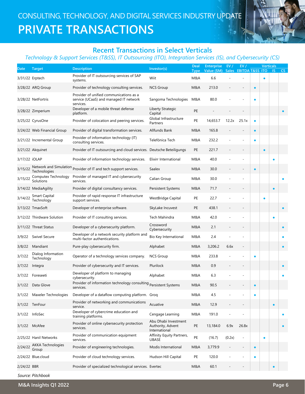

#### **Recent Transactions in Select Verticals**

#### *Technology & Support Services (T&SS), IT Outsourcing (ITO), Integration Services (IS), and Cybersecurity (CS)*

| <b>EBITDA T&amp;SS ITO</b><br>Value (\$M)<br><b>Type</b><br>Provider of IT outsourcing services of SAP<br>Wiit<br>6.6<br>M&A<br>3/31/22 Erptech<br>$\bullet$<br>systems.<br><b>NCS Group</b><br>M&A<br>213.0<br>3/28/22 ARQ Group<br>Provider of technology consulting services.<br>Provider of unified communications as a<br>80.0<br>service (UCaaS) and managed IT network<br>3/28/22 NetFortris<br>Sangoma Technologies<br>M&A<br>$\bullet$<br>services.<br>Developer of a mobile threat defense<br>Liberty Strategic<br>PE<br>3/28/22 Zimperium<br>platform.<br>Capital<br>Global Infrastructure<br>PE<br>3/25/22 CyrusOne<br>Provider of colocation and peering services.<br>14,653.7<br>12.2x<br>25.1x<br>$\bullet$<br>Partners<br>Allfunds Bank<br>165.8<br>3/24/22 Web Financial Group<br>Provider of digital transformation services.<br>M&A<br>$\bullet$<br>Provider of information technology (IT)<br>232.2<br>Telefónica Tech<br>M&A<br>3/21/22 Incremental Group<br>٠ | CS        |
|-------------------------------------------------------------------------------------------------------------------------------------------------------------------------------------------------------------------------------------------------------------------------------------------------------------------------------------------------------------------------------------------------------------------------------------------------------------------------------------------------------------------------------------------------------------------------------------------------------------------------------------------------------------------------------------------------------------------------------------------------------------------------------------------------------------------------------------------------------------------------------------------------------------------------------------------------------------------------------------|-----------|
|                                                                                                                                                                                                                                                                                                                                                                                                                                                                                                                                                                                                                                                                                                                                                                                                                                                                                                                                                                                     |           |
|                                                                                                                                                                                                                                                                                                                                                                                                                                                                                                                                                                                                                                                                                                                                                                                                                                                                                                                                                                                     |           |
|                                                                                                                                                                                                                                                                                                                                                                                                                                                                                                                                                                                                                                                                                                                                                                                                                                                                                                                                                                                     |           |
|                                                                                                                                                                                                                                                                                                                                                                                                                                                                                                                                                                                                                                                                                                                                                                                                                                                                                                                                                                                     |           |
|                                                                                                                                                                                                                                                                                                                                                                                                                                                                                                                                                                                                                                                                                                                                                                                                                                                                                                                                                                                     |           |
|                                                                                                                                                                                                                                                                                                                                                                                                                                                                                                                                                                                                                                                                                                                                                                                                                                                                                                                                                                                     |           |
| consulting services.                                                                                                                                                                                                                                                                                                                                                                                                                                                                                                                                                                                                                                                                                                                                                                                                                                                                                                                                                                |           |
| Provider of IT outsourcing and cloud services. Deutsche Beteiligungs<br>PE<br>221.7<br>3/21/22 Akquinet<br>$\bullet$                                                                                                                                                                                                                                                                                                                                                                                                                                                                                                                                                                                                                                                                                                                                                                                                                                                                |           |
| 40.0<br>3/17/22 iOLAP<br>Provider of information technology services.<br>Elixirr International<br>M&A                                                                                                                                                                                                                                                                                                                                                                                                                                                                                                                                                                                                                                                                                                                                                                                                                                                                               |           |
| Network and Simulation Provider of IT and tech support services.<br>3/15/22<br>Saalex<br>30.0<br>M&A<br>$\bullet$<br>Technologies                                                                                                                                                                                                                                                                                                                                                                                                                                                                                                                                                                                                                                                                                                                                                                                                                                                   |           |
| Provider of managed IT and cybersecurity<br>Computex Technology<br>Calian Group<br>M&A<br>30.0<br>3/15/22<br>Solutions<br>services.                                                                                                                                                                                                                                                                                                                                                                                                                                                                                                                                                                                                                                                                                                                                                                                                                                                 |           |
| Provider of digital consultancy services.<br>71.7<br>3/14/22 MediaAgility<br>Persistent Systems<br>M&A<br>$\bullet$                                                                                                                                                                                                                                                                                                                                                                                                                                                                                                                                                                                                                                                                                                                                                                                                                                                                 |           |
| Provider of rapid response IT infrastructure<br>Smart Capital<br>3/14/22<br>PE<br>22.7<br><b>WestBridge Capital</b><br>$\bullet$<br>Technology<br>support services.                                                                                                                                                                                                                                                                                                                                                                                                                                                                                                                                                                                                                                                                                                                                                                                                                 |           |
| Developer of enterprise software.<br>PE<br>438.1<br>3/13/22 TmaxSoft<br>SkyLake Incuvest                                                                                                                                                                                                                                                                                                                                                                                                                                                                                                                                                                                                                                                                                                                                                                                                                                                                                            |           |
| 3/12/22 Thirdware Solution<br>Provider of IT consulting services.<br>Tech Mahindra<br>M&A<br>42.0<br>٠                                                                                                                                                                                                                                                                                                                                                                                                                                                                                                                                                                                                                                                                                                                                                                                                                                                                              |           |
| Crossword<br>Developer of a cybersecurity platform.<br>3/11/22 Threat Status<br>M&A<br>2.1<br>Cybersecurity                                                                                                                                                                                                                                                                                                                                                                                                                                                                                                                                                                                                                                                                                                                                                                                                                                                                         | $\bullet$ |
| Developer of a network security platform and<br>Swivel Secure<br>Bio Key International<br>2.4<br>3/9/22<br>M&A<br>multi-factor authentications.                                                                                                                                                                                                                                                                                                                                                                                                                                                                                                                                                                                                                                                                                                                                                                                                                                     |           |
| 3/8/22<br>Mandiant<br>3,206.2<br>6.6x<br>Pure-play cybersecurity firm.<br>Alphabet<br>M&A<br>$\overline{a}$                                                                                                                                                                                                                                                                                                                                                                                                                                                                                                                                                                                                                                                                                                                                                                                                                                                                         | $\bullet$ |
| Dialog Information<br>Operator of a technology services company.<br><b>NCS Group</b><br>233.8<br>3/7/22<br>M&A<br>Technology                                                                                                                                                                                                                                                                                                                                                                                                                                                                                                                                                                                                                                                                                                                                                                                                                                                        |           |
| Plurilock<br>0.9<br>Provider of cybersecurity and IT services.<br>M&A<br>3/7/22<br>Integra<br>$\overline{a}$                                                                                                                                                                                                                                                                                                                                                                                                                                                                                                                                                                                                                                                                                                                                                                                                                                                                        | $\bullet$ |
| Developer of platform to managing<br>Alphabet<br>M&A<br>6.3<br>3/7/22<br>Foreseeti<br>cybersecurity.                                                                                                                                                                                                                                                                                                                                                                                                                                                                                                                                                                                                                                                                                                                                                                                                                                                                                | $\bullet$ |
| sydences by the conduction technology consulting persistent Systems<br>M&A<br>3/1/22 Data Glove<br>90.5<br>services.                                                                                                                                                                                                                                                                                                                                                                                                                                                                                                                                                                                                                                                                                                                                                                                                                                                                |           |
| M&A<br>4.5<br>Maxeler Technologies<br>Developer of a dataflow computing platform. Grog<br>3/1/22                                                                                                                                                                                                                                                                                                                                                                                                                                                                                                                                                                                                                                                                                                                                                                                                                                                                                    |           |
| Provider of networking and communications<br>Acuative<br>3/1/22 TenFour<br>M&A<br>12.9<br>$\bullet$<br>$\qquad \qquad -$<br>service.                                                                                                                                                                                                                                                                                                                                                                                                                                                                                                                                                                                                                                                                                                                                                                                                                                                |           |
| Developer of cybercrime education and<br>191.0<br>InfoSec<br>Cengage Learning<br>M&A<br>3/1/22<br>training platforms.                                                                                                                                                                                                                                                                                                                                                                                                                                                                                                                                                                                                                                                                                                                                                                                                                                                               |           |
| Abu Dhabi Investment<br>Provider of online cybersecurity protection<br>PE<br>6.9x<br>26.8x<br>3/1/22 McAfee<br>13,184.0<br>Authority, Advent<br>services.<br>International                                                                                                                                                                                                                                                                                                                                                                                                                                                                                                                                                                                                                                                                                                                                                                                                          | $\bullet$ |
| Provider of communication equipment<br>Affinity Equity Partners,<br>PE<br>(16.7)<br>(0.2x)<br>2/25/22 Hanil Networks<br>$\overline{a}$<br>$\bullet$<br>services.<br><b>UBASE</b>                                                                                                                                                                                                                                                                                                                                                                                                                                                                                                                                                                                                                                                                                                                                                                                                    |           |
| <b>AKKA Technologies</b><br>2/24/22<br>Provider of engineering technologies.<br>Modis International<br>3,779.9<br>M&A<br>$\overline{a}$<br>$\bullet$<br>Group                                                                                                                                                                                                                                                                                                                                                                                                                                                                                                                                                                                                                                                                                                                                                                                                                       |           |
| Provider of cloud technology services.<br>120.0<br>2/24/22 Blue.cloud<br>Hudson Hill Capital<br>PE<br>$\bullet$                                                                                                                                                                                                                                                                                                                                                                                                                                                                                                                                                                                                                                                                                                                                                                                                                                                                     |           |
| 2/24/22 BBR<br>Provider of specialized technological services. Evertec<br>60.1<br>M&A                                                                                                                                                                                                                                                                                                                                                                                                                                                                                                                                                                                                                                                                                                                                                                                                                                                                                               |           |

*Source: Pitchbook*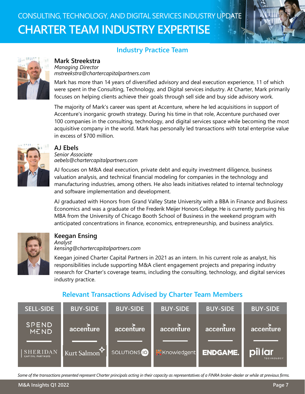# CONSULTING, TECHNOLOGY, AND DIGITAL SERVICES INDUSTRY UPDATE **CHARTER TEAM INDUSTRY EXPERTISE**



#### **Industry Practice Team**



#### **Mark Streekstra**

*Managing Director mstreekstra@chartercapitalpartners.com*

Mark has more than 14 years of diversified advisory and deal execution experience, 11 of which were spent in the Consulting, Technology, and Digital services industry. At Charter, Mark primarily focuses on helping clients achieve their goals through sell side and buy side advisory work.

The majority of Mark's career was spent at Accenture, where he led acquisitions in support of Accenture's inorganic growth strategy. During his time in that role, Accenture purchased over 100 companies in the consulting, technology, and digital services space while becoming the most acquisitive company in the world. Mark has personally led transactions with total enterprise value in excess of \$700 million.



#### **AJ Ebels**

*Senior Associate aebels@chartercapitalpartners.com*

AJ focuses on M&A deal execution, private debt and equity investment diligence, business valuation analysis, and technical financial modeling for companies in the technology and manufacturing industries, among others. He also leads initiatives related to internal technology and software implementation and development.

AJ graduated with Honors from Grand Valley State University with a BBA in Finance and Business Economics and was a graduate of the Frederik Meijer Honors College. He is currently pursuing his MBA from the University of Chicago Booth School of Business in the weekend program with anticipated concentrations in finance, economics, entrepreneurship, and business analytics.



#### **Keegan Ensing**

*Analyst kensing@chartercapitalpartners.com*

Keegan joined Charter Capital Partners in 2021 as an intern. In his current role as analyst, his responsibilities include supporting M&A client engagement projects and preparing industry research for Charter's coverage teams, including the consulting, technology, and digital services industry practice.

#### **Relevant Transactions Advised by Charter Team Members**

| <b>SELL-SIDE</b>                           | <b>BUY-SIDE</b>          | <b>BUY-SIDE</b>         | <b>BUY-SIDE</b>      | <b>BUY-SIDE</b> | <b>BUY-SIDE</b>              |
|--------------------------------------------|--------------------------|-------------------------|----------------------|-----------------|------------------------------|
| <b>SPEND</b><br>MEND                       | accenture                | accenture               | accenture            | accenture       | accenture                    |
| <b>SHERIDAN</b><br><b>CAPITAL PARTNERS</b> | Kurt Salmon <sup>*</sup> | SOLUTIONS <sup>10</sup> | <b>K</b> Knowledgent | <b>ENDGAME.</b> | pil lar<br><b>TECHNOLOGY</b> |

*Some of the transactions presented represent Charter principals acting in their capacity as representatives of a FINRA broker-dealer or while at previous firms.*